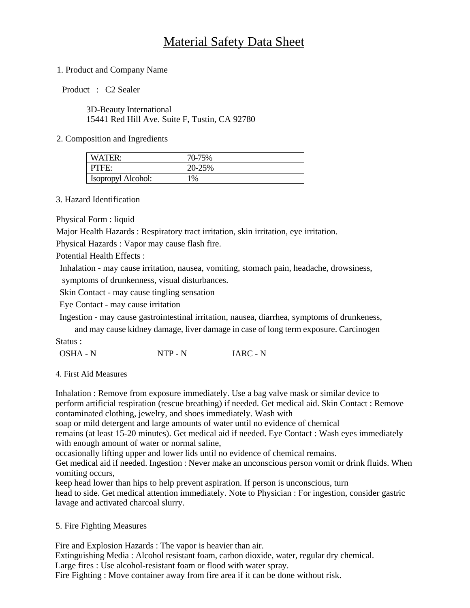# Material Safety Data Sheet

## 1. Product and Company Name

Product : C2 Sealer

3D-Beauty International 15441 Red Hill Ave. Suite F, Tustin, CA 92780

## 2. Composition and Ingredients

| WATER:             | 70-75% |
|--------------------|--------|
| PTFE:              | 20-25% |
| Isopropyl Alcohol: | 1%     |

#### 3. Hazard Identification

Physical Form : liquid

Major Health Hazards : Respiratory tract irritation, skin irritation, eye irritation.

Physical Hazards : Vapor may cause flash fire.

Potential Health Effects :

Inhalation - may cause irritation, nausea, vomiting, stomach pain, headache, drowsiness,

symptoms of drunkenness, visual disturbances.

Skin Contact - may cause tingling sensation

Eye Contact - may cause irritation

Ingestion - may cause gastrointestinal irritation, nausea, diarrhea, symptoms of drunkeness,

and may cause kidney damage, liver damage in case of long term exposure. Carcinogen Status :

OSHA - N NTP - N IARC - N

4. First Aid Measures

Inhalation : Remove from exposure immediately. Use a bag valve mask or similar device to perform artificial respiration (rescue breathing) if needed. Get medical aid. Skin Contact : Remove contaminated clothing, jewelry, and shoes immediately. Wash with

soap or mild detergent and large amounts of water until no evidence of chemical

remains (at least 15-20 minutes). Get medical aid if needed. Eye Contact : Wash eyes immediately with enough amount of water or normal saline,

occasionally lifting upper and lower lids until no evidence of chemical remains.

Get medical aid if needed. Ingestion : Never make an unconscious person vomit or drink fluids. When vomiting occurs,

keep head lower than hips to help prevent aspiration. If person is unconscious, turn head to side. Get medical attention immediately. Note to Physician : For ingestion, consider gastric lavage and activated charcoal slurry.

## 5. Fire Fighting Measures

Fire and Explosion Hazards : The vapor is heavier than air. Extinguishing Media : Alcohol resistant foam, carbon dioxide, water, regular dry chemical. Large fires : Use alcohol-resistant foam or flood with water spray. Fire Fighting : Move container away from fire area if it can be done without risk.